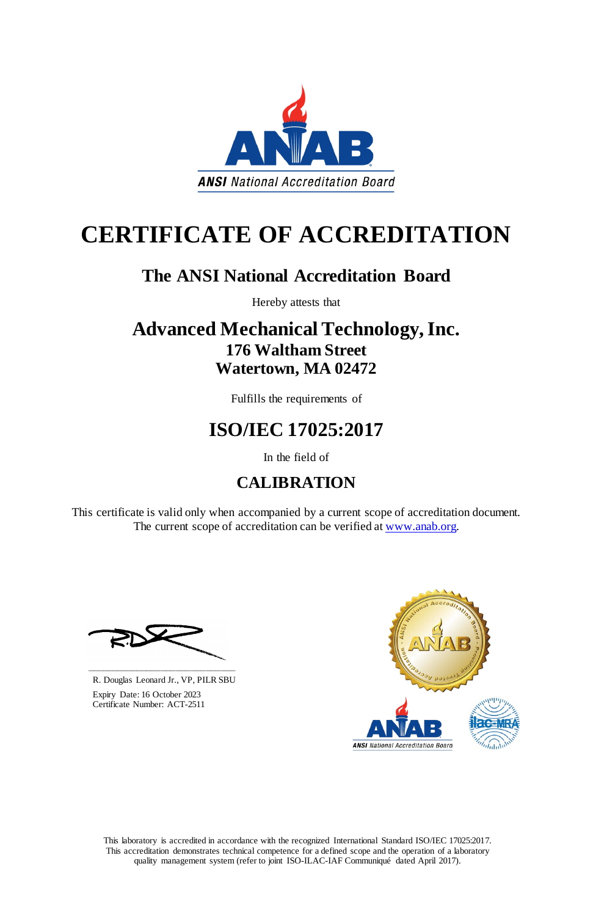This laboratory is accredited in accordance with the recognized International Standard ISO/IEC 17025:2017. This accreditation demonstrates technical competence for a defined scope and the operation of a laboratory quality management system (refer to joint ISO-ILAC-IAF Communiqué dated April 2017).

This certificate is valid only when accompanied by a current scope of accreditation document. The current scope of accreditation can be verified at [www.anab.org.](http://www.anab.org/)



# **CERTIFICATE OF ACCREDITATION**

## **The ANSI National Accreditation Board**

Hereby attests that

## **Advanced Mechanical Technology, Inc. 176 Waltham Street Watertown, MA 02472**

Fulfills the requirements of

## **ISO/IEC 17025:2017**

In the field of

## **CALIBRATION**





R. Douglas Leonard Jr., VP, PILR SBU

 Expiry Date: 16 October 2023 Certificate Number: ACT-2511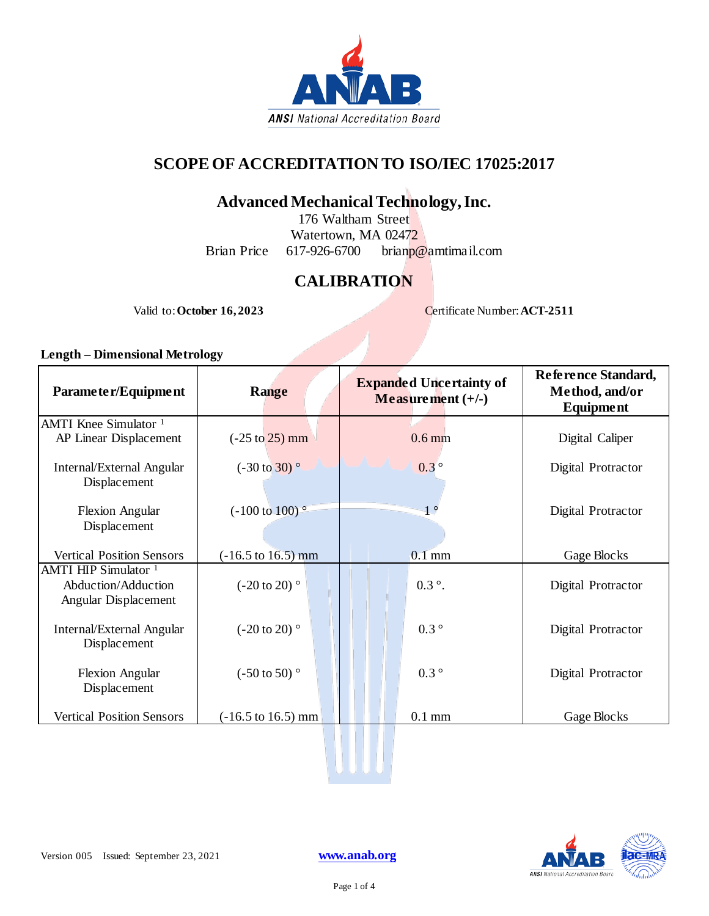

### **SCOPE OF ACCREDITATION TO ISO/IEC 17025:2017**

### **Advanced Mechanical Technology, Inc.**

176 Waltham Street Watertown, MA 02472<br>617-926-6700 brianp Brian Price 617-926-6700 brianp@amtimail.com

## **CALIBRATION**

Valid to: **October 16, 2023** Certificate Number: **ACT-2511** 

#### **Length – Dimensional Metrology**

| Parameter/Equipment                                                            | <b>Range</b>                          | <b>Expanded Uncertainty of</b><br>Measurement $(+/-)$ | Reference Standard,<br>Method, and/or<br><b>Equipment</b> |
|--------------------------------------------------------------------------------|---------------------------------------|-------------------------------------------------------|-----------------------------------------------------------|
| AMTI Knee Simulator <sup>1</sup><br>AP Linear Displacement                     | $(-25 \text{ to } 25) \text{ mm}$     | $0.6$ mm                                              | Digital Caliper                                           |
| Internal/External Angular<br>Displacement                                      | $(-30 \text{ to } 30)$                | $0.3^\circ$                                           | Digital Protractor                                        |
| <b>Flexion Angular</b><br>Displacement                                         | $(-100 \text{ to } 100)$ <sup>o</sup> | $1^{\circ}$                                           | Digital Protractor                                        |
| <b>Vertical Position Sensors</b>                                               | $(-16.5 \text{ to } 16.5) \text{ mm}$ | $0.1$ mm                                              | Gage Blocks                                               |
| AMTI HIP Simulator <sup>1</sup><br>Abduction/Adduction<br>Angular Displacement | $(-20 \text{ to } 20)$                | $0.3^{\circ}$ .                                       | Digital Protractor                                        |
| Internal/External Angular<br>Displacement                                      | $(-20 \text{ to } 20)$                | $0.3\degree$                                          | Digital Protractor                                        |
| <b>Flexion Angular</b><br>Displacement                                         | $(-50 \text{ to } 50)$ °              | $0.3\degree$                                          | Digital Protractor                                        |
| <b>Vertical Position Sensors</b>                                               | $(-16.5 \text{ to } 16.5) \text{ mm}$ | $0.1$ mm                                              | Gage Blocks                                               |
|                                                                                |                                       |                                                       |                                                           |

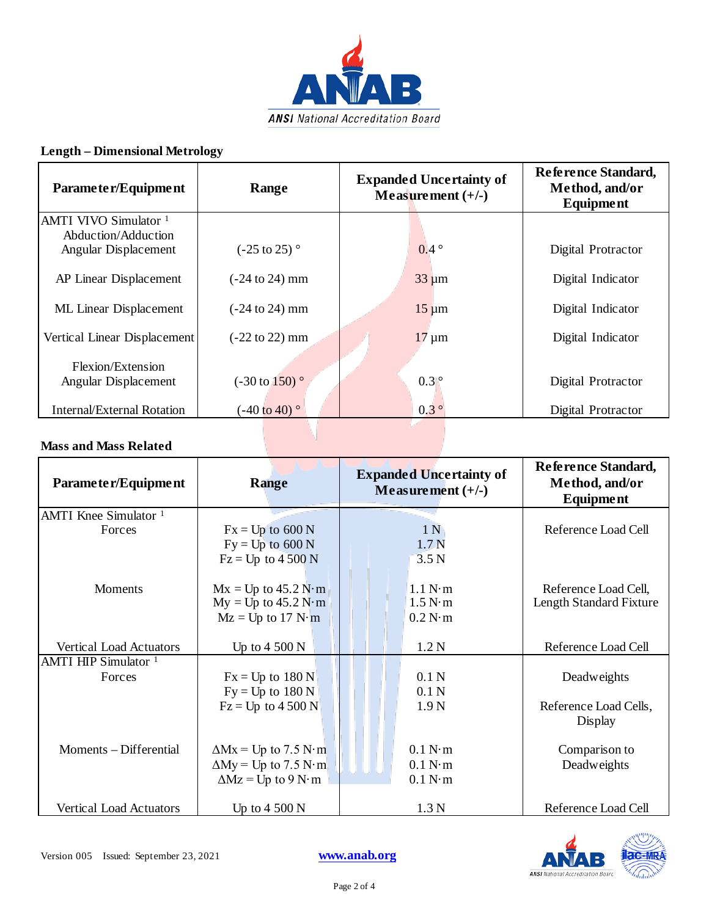

### **Length – Dimensional Metrology**

| Parameter/Equipment                         | Range                                | <b>Expanded Uncertainty of</b><br>Measurement $(+/-)$ | Reference Standard,<br>Method, and/or<br><b>Equipment</b> |
|---------------------------------------------|--------------------------------------|-------------------------------------------------------|-----------------------------------------------------------|
| AMTI VIVO Simulator <sup>1</sup>            |                                      |                                                       |                                                           |
| Abduction/Adduction<br>Angular Displacement | $(-25 \text{ to } 25)$               | $0.4^\circ$                                           | Digital Protractor                                        |
| AP Linear Displacement                      | $(-24 \text{ to } 24) \text{ mm}$    | $33 \mu m$                                            | Digital Indicator                                         |
| <b>ML</b> Linear Displacement               | $(-24 \text{ to } 24) \text{ mm}$    | $15 \mu m$                                            | Digital Indicator                                         |
| Vertical Linear Displacement                | $(-22 \text{ to } 22) \text{ mm}$    | $17 \mu m$                                            | Digital Indicator                                         |
| Flexion/Extension                           |                                      |                                                       |                                                           |
| Angular Displacement                        | $(-30 \text{ to } 150)$ <sup>o</sup> | $0.3$ $^{\circ}$                                      | Digital Protractor                                        |
| <b>Internal/External Rotation</b>           | $(-40 \text{ to } 40)$               | $0.3^\circ$                                           | Digital Protractor                                        |

### **Mass and Mass Related**

| Parameter/Equipment             | <b>Range</b>                | <b>Expanded Uncertainty of</b><br>Measurement $(+/-)$ | Reference Standard,<br>Method, and/or<br><b>Equipment</b> |
|---------------------------------|-----------------------------|-------------------------------------------------------|-----------------------------------------------------------|
| AMTI Knee Simulator $1$         |                             |                                                       |                                                           |
| Forces                          | $Fx = Up$ to 600 N          | 1 <sub>N</sub>                                        | Reference Load Cell                                       |
|                                 | $Fy = Up$ to 600 N          | 1.7 <sub>N</sub>                                      |                                                           |
|                                 | $Fz = Up$ to 4 500 N        | 3.5 <sub>N</sub>                                      |                                                           |
|                                 |                             |                                                       |                                                           |
| <b>Moments</b>                  | $Mx = Up to 45.2 N·m$       | 1.1 N·m                                               | Reference Load Cell,                                      |
|                                 | $My = Up to 45.2 N·m$       | 1.5 N·m                                               | Length Standard Fixture                                   |
|                                 | $Mz = Up$ to 17 N·m         | 0.2 N·m                                               |                                                           |
|                                 |                             |                                                       |                                                           |
| Vertical Load Actuators         | Up to $4\,500\,\mathrm{N}$  | 1.2 <sub>N</sub>                                      | Reference Load Cell                                       |
| AMTI HIP Simulator <sup>1</sup> |                             |                                                       |                                                           |
| Forces                          | $Fx = Up to 180 N$          | 0.1 <sub>N</sub>                                      | Deadweights                                               |
|                                 | $Fy = Up to 180 N$          | 0.1 <sub>N</sub>                                      |                                                           |
|                                 | $Fz = Up$ to 4 500 N        | 1.9 <sub>N</sub>                                      | Reference Load Cells,                                     |
|                                 |                             |                                                       | Display                                                   |
|                                 |                             |                                                       |                                                           |
| Moments – Differential          | $\Delta Mx = Up$ to 7.5 N·m | 0.1 N·m                                               | Comparison to                                             |
|                                 | $\Delta My = Up$ to 7.5 N·m | 0.1 N·m                                               | Deadweights                                               |
|                                 | $\Delta Mz = Up$ to 9 N·m   | 0.1 N·m                                               |                                                           |
|                                 |                             |                                                       |                                                           |
| <b>Vertical Load Actuators</b>  | Up to $4500 N$              | 1.3 <sub>N</sub>                                      | Reference Load Cell                                       |

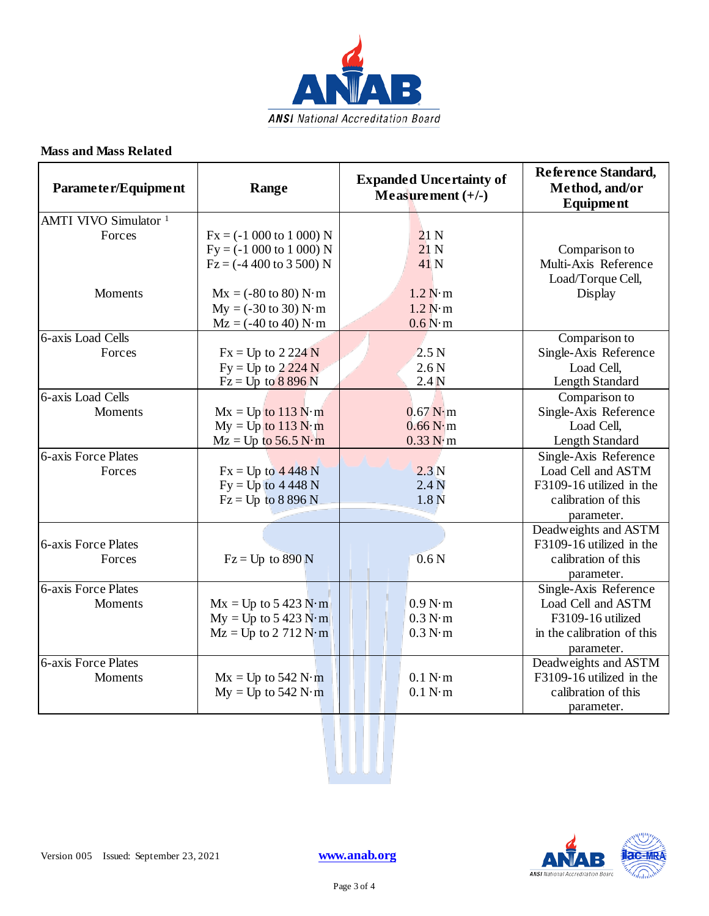

### **Mass and Mass Related**

| Parameter/Equipment              | Range                                            | <b>Expanded Uncertainty of</b><br>Measurement $(+/-)$ | Reference Standard,<br>Method, and/or<br><b>Equipment</b> |
|----------------------------------|--------------------------------------------------|-------------------------------------------------------|-----------------------------------------------------------|
| AMTI VIVO Simulator <sup>1</sup> |                                                  |                                                       |                                                           |
| Forces                           | $Fx = (-1000 to 1000) N$                         | 21 <sub>N</sub>                                       |                                                           |
|                                  | $Fy = (-1000 to 1000) N$                         | 21 <sub>N</sub>                                       | Comparison to                                             |
|                                  | $Fz = (-4400 \text{ to } 3500) N$                | 41N                                                   | Multi-Axis Reference                                      |
|                                  |                                                  |                                                       | Load/Torque Cell,                                         |
| Moments                          | $Mx = (-80 \text{ to } 80) N·m$                  | 1.2 N·m                                               | Display                                                   |
|                                  | $My = (-30 \text{ to } 30) N \cdot m$            | 1.2 N·m                                               |                                                           |
|                                  | $Mz = (-40 \text{ to } 40) N \cdot m$            | 0.6 N·m                                               |                                                           |
| <b>6-axis Load Cells</b>         |                                                  |                                                       | Comparison to                                             |
| Forces                           | $Fx = Up to 2224 N$                              | 2.5 <sub>N</sub>                                      | Single-Axis Reference                                     |
|                                  | $Fy = Up to 2224 N$                              | 2.6 <sub>N</sub>                                      | Load Cell,                                                |
|                                  | $Fz = Up to 8896 N$                              | 2.4 <sub>N</sub>                                      | Length Standard                                           |
| 6-axis Load Cells                |                                                  |                                                       | Comparison to                                             |
| <b>Moments</b>                   | $Mx = Up$ to 113 N·m                             | $0.67$ N $\cdot$ m                                    | Single-Axis Reference                                     |
|                                  | $My = Up$ to 113 N·m                             | 0.66 N·m                                              | Load Cell,                                                |
|                                  | $Mz = Up$ to 56.5 N·m                            | 0.33 N·m                                              | Length Standard                                           |
| <b>6-axis Force Plates</b>       |                                                  |                                                       | Single-Axis Reference                                     |
| Forces                           | $Fx = Up to 4448 N$                              | 2.3N                                                  | Load Cell and ASTM                                        |
|                                  | $Fy = Up$ to 4 448 N                             | 2.4 <sub>N</sub>                                      | F3109-16 utilized in the                                  |
|                                  | $Fz = Up to 8896 N$                              | 1.8 <sub>N</sub>                                      | calibration of this                                       |
|                                  |                                                  |                                                       | parameter.                                                |
|                                  |                                                  |                                                       | Deadweights and ASTM                                      |
| 6-axis Force Plates              |                                                  |                                                       | F3109-16 utilized in the                                  |
| Forces                           | $Fz = Up$ to $890 N$                             | 0.6 <sub>N</sub>                                      | calibration of this                                       |
| <b>6-axis Force Plates</b>       |                                                  |                                                       | parameter.                                                |
|                                  |                                                  | 0.9 N·m                                               | Single-Axis Reference<br>Load Cell and ASTM               |
| Moments                          | $Mx = Up to 5 423 N·m$<br>$My = Up to 5 423 N·m$ | 0.3 N·m                                               | F3109-16 utilized                                         |
|                                  | $Mz = Up$ to 2 712 $N \cdot m$                   | 0.3 N·m                                               | in the calibration of this                                |
|                                  |                                                  |                                                       |                                                           |
| 6-axis Force Plates              |                                                  |                                                       | parameter.<br>Deadweights and ASTM                        |
| <b>Moments</b>                   | $Mx = Up to 542 N·m$                             | 0.1 N·m                                               | F3109-16 utilized in the                                  |
|                                  | $My = Up$ to 542 N·m                             | 0.1 N·m                                               | calibration of this                                       |
|                                  |                                                  |                                                       | parameter.                                                |
|                                  |                                                  |                                                       |                                                           |